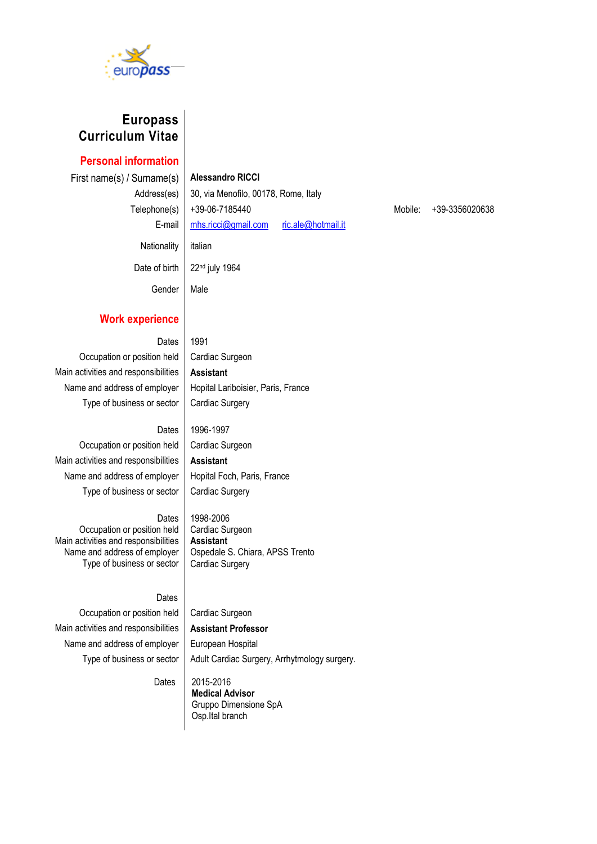

## **Europass Curriculum Vitae**

**Personal information**

First name(s) / Surname(s) **Alessandro RICCI** Nationality italian

Address(es) 30, via Menofilo, 00178, Rome, Italy Telephone(s) +39-06-7185440 Mobile: +39-3356020638 E-mail [mhs.ricci@gmail.com](mailto:mhs.ricci@gmail.com) [ric.ale@hotmail.it](mailto:ric.ale@hotmail.it)

Date of birth  $\vert$  22<sup>nd</sup> july 1964

Gender | Male

#### **Work experience**

Dates  $1991$ Occupation or position held | Cardiac Surgeon Main activities and responsibilities **Assistant** Type of business or sector  $\vert$  Cardiac Surgery

Name and address of employer | Hopital Lariboisier, Paris, France

Ospedale S. Chiara, APSS Trento

#### Dates 1996-1997

Occupation or position held | Cardiac Surgeon Main activities and responsibilities | Assistant Name and address of employer | Hopital Foch, Paris, France Type of business or sector | Cardiac Surgery

Dates Occupation or position held Main activities and responsibilities Name and address of employer Type of business or sector

Type of business or sector

## Dates

Occupation or position held | Cardiac Surgeon

Cardiac Surgery

1998-2006 Cardiac Surgeon **Assistant**

Main activities and responsibilities **Assistant Professor**

Name and address of employer  $\parallel$  European Hospital Adult Cardiac Surgery, Arrhytmology surgery.

**Dates** 

 2015-2016 **Medical Advisor**  Gruppo Dimensione SpA Osp.Ital branch